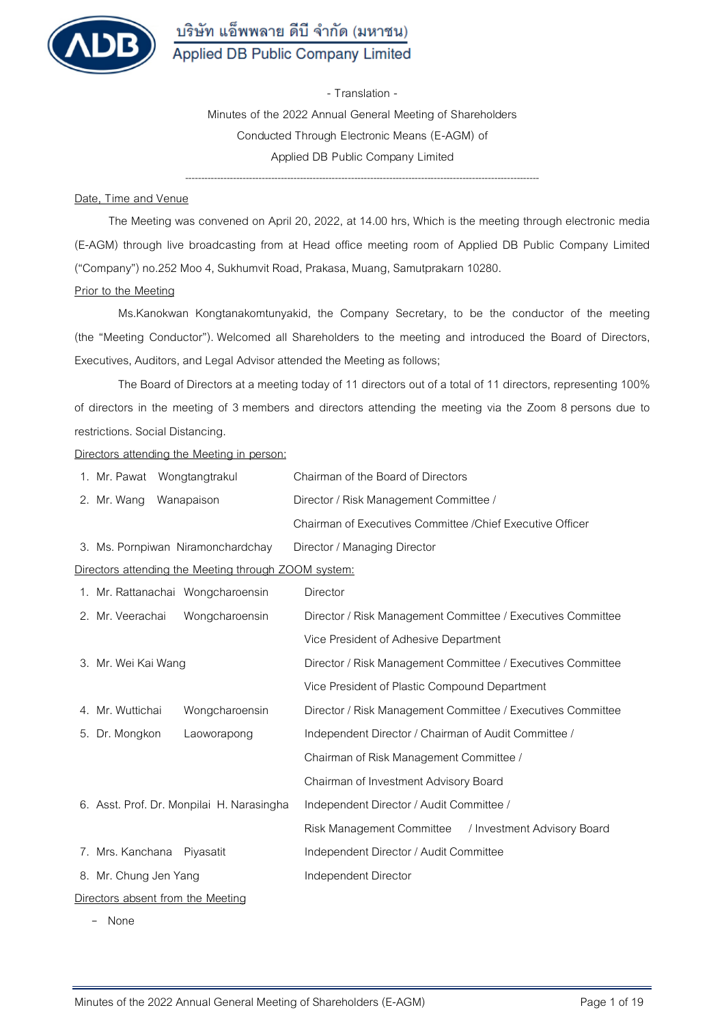

**- Translation -** 

**Minutes of the 2022 Annual General Meeting of Shareholders Conducted Through Electronic Means (E-AGM) of Applied DB Public Company Limited** 

---------------------------------------------------------------------------------------------------------------

#### **Date, Time and Venue**

The Meeting was convened on April 20, 2022, at 14.00 hrs, Which is the meeting through electronic media (E-AGM) through live broadcasting from at Head office meeting room of Applied DB Public Company Limited ("Company") no.252 Moo 4, Sukhumvit Road, Prakasa, Muang, Samutprakarn 10280.

## **Prior to the Meeting**

Ms.Kanokwan Kongtanakomtunyakid, the Company Secretary, to be the conductor of the meeting (the "Meeting Conductor"). Welcomed all Shareholders to the meeting and introduced the Board of Directors, Executives, Auditors, and Legal Advisor attended the Meeting as follows;

The Board of Directors at a meeting today of 11 directors out of a total of 11 directors, representing 100% of directors in the meeting of 3 members and directors attending the meeting via the Zoom 8 persons due to restrictions. Social Distancing.

#### **Directors attending the Meeting in person:**

| 1. Mr. Pawat Wongtangtrakul                          | Chairman of the Board of Directors                          |  |  |  |  |  |
|------------------------------------------------------|-------------------------------------------------------------|--|--|--|--|--|
| 2. Mr. Wang<br>Wanapaison                            | Director / Risk Management Committee /                      |  |  |  |  |  |
|                                                      | Chairman of Executives Committee / Chief Executive Officer  |  |  |  |  |  |
| 3. Ms. Pornpiwan Niramonchardchay                    | Director / Managing Director                                |  |  |  |  |  |
| Directors attending the Meeting through ZOOM system: |                                                             |  |  |  |  |  |
| 1. Mr. Rattanachai Wongcharoensin                    | Director                                                    |  |  |  |  |  |
| 2. Mr. Veerachai<br>Wongcharoensin                   | Director / Risk Management Committee / Executives Committee |  |  |  |  |  |
|                                                      | Vice President of Adhesive Department                       |  |  |  |  |  |
| 3. Mr. Wei Kai Wang                                  | Director / Risk Management Committee / Executives Committee |  |  |  |  |  |
|                                                      | Vice President of Plastic Compound Department               |  |  |  |  |  |
| 4. Mr. Wuttichai<br>Wongcharoensin                   | Director / Risk Management Committee / Executives Committee |  |  |  |  |  |
| 5. Dr. Mongkon<br>Laoworapong                        | Independent Director / Chairman of Audit Committee /        |  |  |  |  |  |
|                                                      | Chairman of Risk Management Committee /                     |  |  |  |  |  |
|                                                      | Chairman of Investment Advisory Board                       |  |  |  |  |  |
| 6. Asst. Prof. Dr. Monpilai H. Narasingha            | Independent Director / Audit Committee /                    |  |  |  |  |  |
|                                                      | Risk Management Committee<br>/ Investment Advisory Board    |  |  |  |  |  |
| 7. Mrs. Kanchana<br>Piyasatit                        | Independent Director / Audit Committee                      |  |  |  |  |  |
| 8. Mr. Chung Jen Yang                                | Independent Director                                        |  |  |  |  |  |
| Directors absent from the Meeting                    |                                                             |  |  |  |  |  |

- None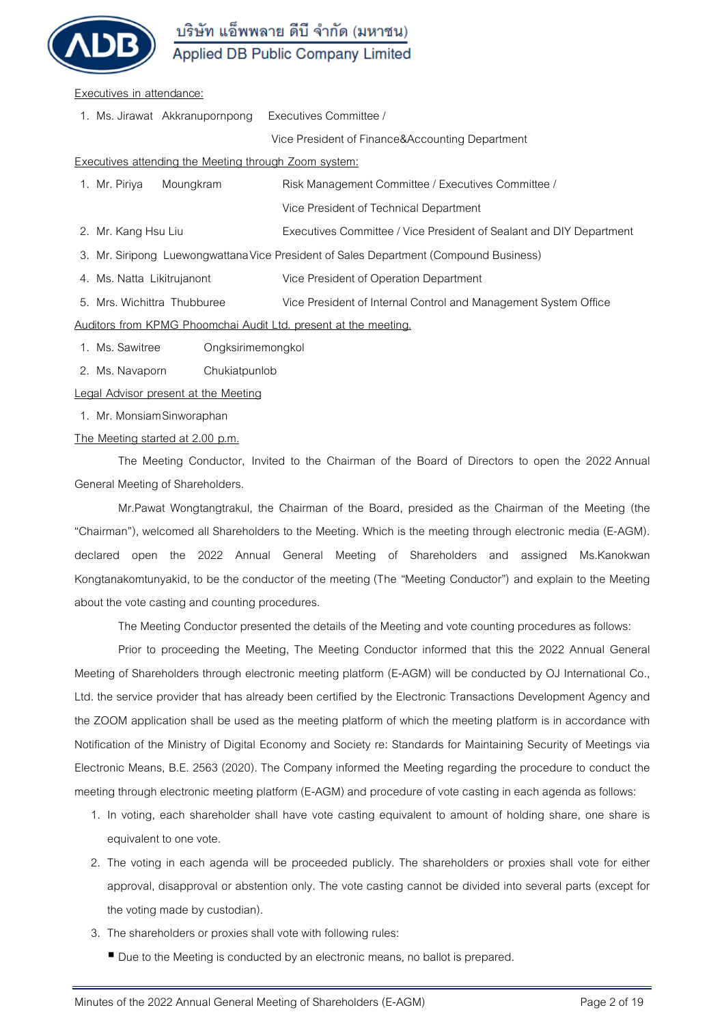

#### **Executives in attendance:**

1. Ms. Jirawat Akkranupornpong Executives Committee /

Vice President of Finance&Accounting Department

### **Executives attending the Meeting through Zoom system:**

| 1. Mr. Piriya                                                                         | Moungkram                   | Risk Management Committee / Executives Committee /                  |  |  |  |
|---------------------------------------------------------------------------------------|-----------------------------|---------------------------------------------------------------------|--|--|--|
|                                                                                       |                             | Vice President of Technical Department                              |  |  |  |
| 2. Mr. Kang Hsu Liu                                                                   |                             | Executives Committee / Vice President of Sealant and DIY Department |  |  |  |
| 3. Mr. Siripong Luewongwattana Vice President of Sales Department (Compound Business) |                             |                                                                     |  |  |  |
| 4. Ms. Natta Likitrujanont                                                            |                             | Vice President of Operation Department                              |  |  |  |
|                                                                                       | 5. Mrs. Wichittra Thubburee | Vice President of Internal Control and Management System Office     |  |  |  |
| Auditors from KPMG Phoomchai Audit Ltd. present at the meeting.                       |                             |                                                                     |  |  |  |
|                                                                                       |                             |                                                                     |  |  |  |

- 1. Ms. Sawitree Ongksirimemongkol
- 2. Ms. Navaporn Chukiatpunlob

**Legal Advisor present at the Meeting**

1. Mr. Monsiam Sinworaphan

### **The Meeting started at 2.00 p.m.**

The Meeting Conductor, Invited to the Chairman of the Board of Directors to open the 2022 Annual General Meeting of Shareholders.

Mr.Pawat Wongtangtrakul, the Chairman of the Board, presided as the Chairman of the Meeting (the "Chairman"), welcomed all Shareholders to the Meeting. Which is the meeting through electronic media (E-AGM). declared open the 2022 Annual General Meeting of Shareholders and assigned Ms.Kanokwan Kongtanakomtunyakid, to be the conductor of the meeting **(The "Meeting Conductor")** and explain to the Meeting about the vote casting and counting procedures.

The Meeting Conductor presented the details of the Meeting and vote counting procedures as follows:

Prior to proceeding the Meeting, The Meeting Conductor informed that this the 2022 Annual General Meeting of Shareholders through electronic meeting platform (E-AGM) will be conducted by OJ International Co., Ltd. the service provider that has already been certified by the Electronic Transactions Development Agency and the ZOOM application shall be used as the meeting platform of which the meeting platform is in accordance with Notification of the Ministry of Digital Economy and Society re: Standards for Maintaining Security of Meetings via Electronic Means, B.E. 2563 (2020). The Company informed the Meeting regarding the procedure to conduct the meeting through electronic meeting platform (E-AGM) and procedure of vote casting in each agenda as follows:

- 1. In voting, each shareholder shall have vote casting equivalent to amount of holding share, one share is equivalent to one vote.
- 2. The voting in each agenda will be proceeded publicly. The shareholders or proxies shall vote for either approval, disapproval or abstention only. The vote casting cannot be divided into several parts (except for the voting made by custodian).
- 3. The shareholders or proxies shall vote with following rules:
	- Due to the Meeting is conducted by an electronic means, no ballot is prepared.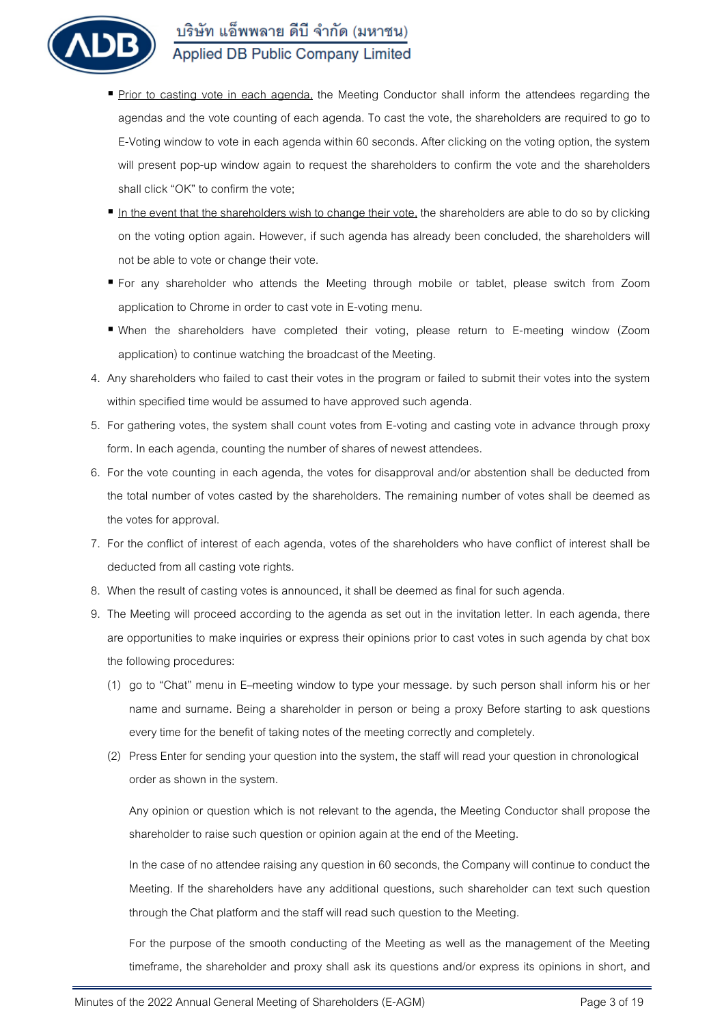

- Prior to casting vote in each agenda, the Meeting Conductor shall inform the attendees regarding the agendas and the vote counting of each agenda. To cast the vote, the shareholders are required to go to E-Voting window to vote in each agenda within 60 seconds. After clicking on the voting option, the system will present pop-up window again to request the shareholders to confirm the vote and the shareholders shall click "OK" to confirm the vote;
- In the event that the shareholders wish to change their vote, the shareholders are able to do so by clicking on the voting option again. However, if such agenda has already been concluded, the shareholders will not be able to vote or change their vote.
- For any shareholder who attends the Meeting through mobile or tablet, please switch from Zoom application to Chrome in order to cast vote in E-voting menu.
- When the shareholders have completed their voting, please return to E-meeting window (Zoom application) to continue watching the broadcast of the Meeting.
- 4. Any shareholders who failed to cast their votes in the program or failed to submit their votes into the system within specified time would be assumed to have approved such agenda.
- 5. For gathering votes, the system shall count votes from E-voting and casting vote in advance through proxy form. In each agenda, counting the number of shares of newest attendees.
- 6. For the vote counting in each agenda, the votes for disapproval and/or abstention shall be deducted from the total number of votes casted by the shareholders. The remaining number of votes shall be deemed as the votes for approval.
- 7. For the conflict of interest of each agenda, votes of the shareholders who have conflict of interest shall be deducted from all casting vote rights.
- 8. When the result of casting votes is announced, it shall be deemed as final for such agenda.
- 9. The Meeting will proceed according to the agenda as set out in the invitation letter. In each agenda, there are opportunities to make inquiries or express their opinions prior to cast votes in such agenda by chat box the following procedures:
	- (1) go to "Chat" menu in E–meeting window to type your message. by such person shall inform his or her name and surname. Being a shareholder in person or being a proxy Before starting to ask questions every time for the benefit of taking notes of the meeting correctly and completely.
	- (2) Press Enter for sending your question into the system, the staff will read your question in chronological order as shown in the system.

Any opinion or question which is not relevant to the agenda, the Meeting Conductor shall propose the shareholder to raise such question or opinion again at the end of the Meeting.

In the case of no attendee raising any question in 60 seconds, the Company will continue to conduct the Meeting. If the shareholders have any additional questions, such shareholder can text such question through the Chat platform and the staff will read such question to the Meeting.

For the purpose of the smooth conducting of the Meeting as well as the management of the Meeting timeframe, the shareholder and proxy shall ask its questions and/or express its opinions in short, and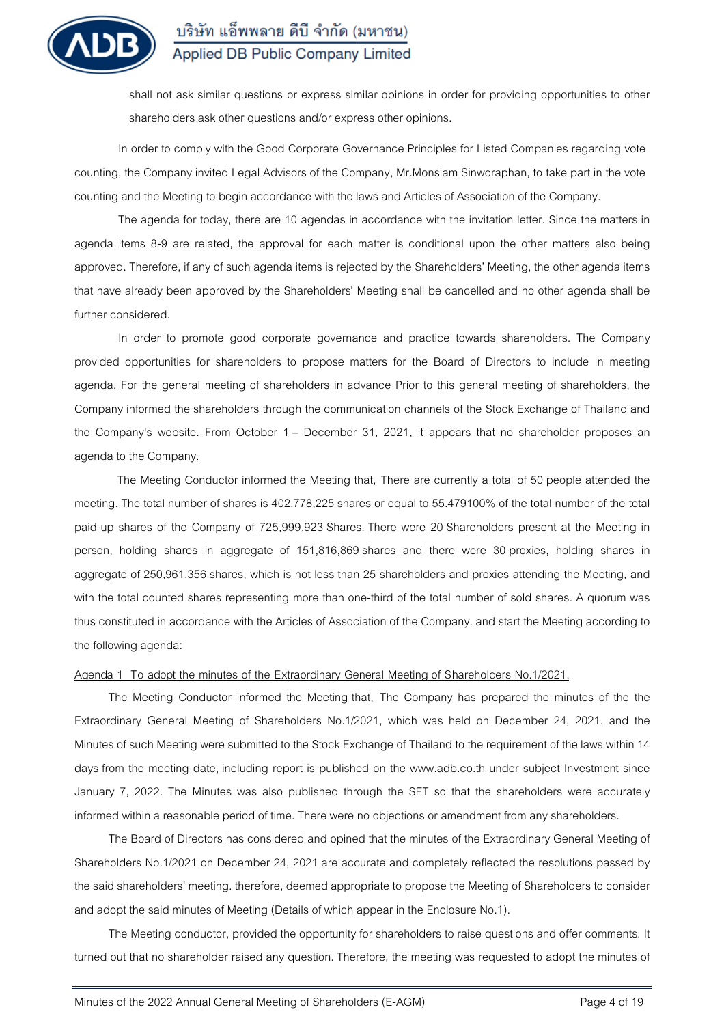

shall not ask similar questions or express similar opinions in order for providing opportunities to other shareholders ask other questions and/or express other opinions.

In order to comply with the Good Corporate Governance Principles for Listed Companies regarding vote counting, the Company invited Legal Advisors of the Company, Mr.Monsiam Sinworaphan, to take part in the vote counting and the Meeting to begin accordance with the laws and Articles of Association of the Company.

The agenda for today, there are 10 agendas in accordance with the invitation letter. Since the matters in agenda items 8-9 are related, the approval for each matter is conditional upon the other matters also being approved. Therefore, if any of such agenda items is rejected by the Shareholders' Meeting, the other agenda items that have already been approved by the Shareholders' Meeting shall be cancelled and no other agenda shall be further considered.

In order to promote good corporate governance and practice towards shareholders. The Company provided opportunities for shareholders to propose matters for the Board of Directors to include in meeting agenda. For the general meeting of shareholders in advance Prior to this general meeting of shareholders, the Company informed the shareholders through the communication channels of the Stock Exchange of Thailand and the Company's website. From October 1 – December 31, 2021, it appears that no shareholder proposes an agenda to the Company.

The Meeting Conductor informed the Meeting that, There are currently a total of 50 people attended the meeting. The total number of shares is 402,778,225 shares or equal to 55.479100% of the total number of the total paid-up shares of the Company of 725,999,923 Shares. There were 20 Shareholders present at the Meeting in person, holding shares in aggregate of 151,816,869 shares and there were 30 proxies, holding shares in aggregate of 250,961,356 shares, which is not less than 25 shareholders and proxies attending the Meeting, and with the total counted shares representing more than one-third of the total number of sold shares. A quorum was thus constituted in accordance with the Articles of Association of the Company. and start the Meeting according to the following agenda:

### **Agenda 1 To adopt the minutes of the Extraordinary General Meeting of Shareholders No.1/2021.**

The Meeting Conductor informed the Meeting that, The Company has prepared the minutes of the the Extraordinary General Meeting of Shareholders No.1/2021, which was held on December 24, 2021. and the Minutes of such Meeting were submitted to the Stock Exchange of Thailand to the requirement of the laws within 14 days from the meeting date, including report is published on the www.adb.co.th under subject Investment since January 7, 2022. The Minutes was also published through the SET so that the shareholders were accurately informed within a reasonable period of time. There were no objections or amendment from any shareholders.

The Board of Directors has considered and opined that the minutes of the Extraordinary General Meeting of Shareholders No.1/2021 on December 24, 2021 are accurate and completely reflected the resolutions passed by the said shareholders' meeting. therefore, deemed appropriate to propose the Meeting of Shareholders to consider and adopt the said minutes of Meeting (Details of which appear in the Enclosure No.1).

The Meeting conductor, provided the opportunity for shareholders to raise questions and offer comments. It turned out that no shareholder raised any question. Therefore, the meeting was requested to adopt the minutes of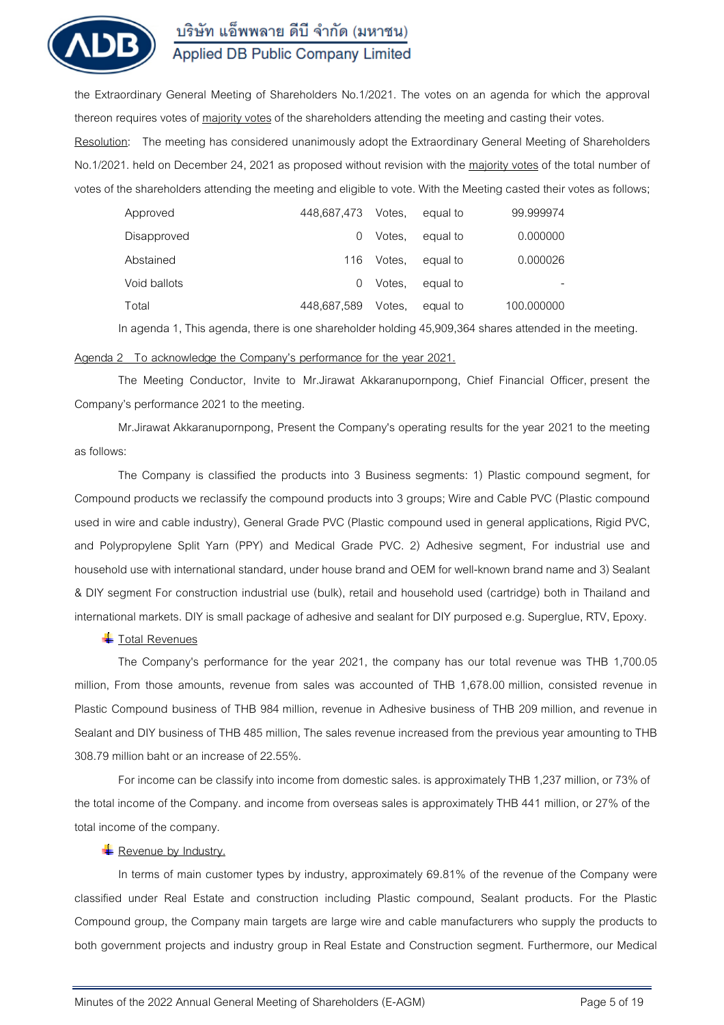

the Extraordinary General Meeting of Shareholders No.1/2021. The votes on an agenda for which the approval thereon requires votes of majority votes of the shareholders attending the meeting and casting their votes.

**Resolution:** The meeting has considered unanimously adopt the Extraordinary General Meeting of Shareholders No.1/2021. held on December 24, 2021 as proposed without revision with the majority votes of the total number of votes of the shareholders attending the meeting and eligible to vote. With the Meeting casted their votes as follows;

| Approved     | 448,687,473 | Votes. | equal to | 99.999974  |
|--------------|-------------|--------|----------|------------|
| Disapproved  | $\cup$      | Votes. | equal to | 0.000000   |
| Abstained    | 116         | Votes. | equal to | 0.000026   |
| Void ballots |             | Votes. | equal to |            |
| Total        | 448.687.589 | Votes. | equal to | 100.000000 |

In agenda 1, This agenda, there is one shareholder holding 45,909,364 shares attended in the meeting.

#### **Agenda 2 To acknowledge the Company's performance for the year 2021.**

The Meeting Conductor, Invite to Mr.Jirawat Akkaranupornpong, Chief Financial Officer, present the Company's performance 2021 to the meeting.

Mr.Jirawat Akkaranupornpong, Present the Company's operating results for the year 202**1** to the meeting as follows:

The Company is classified the products into 3 Business segments: 1) Plastic compound segment, for Compound products we reclassify the compound products into 3 groups; Wire and Cable PVC (Plastic compound used in wire and cable industry), General Grade PVC (Plastic compound used in general applications, Rigid PVC, and Polypropylene Split Yarn (PPY) and Medical Grade PVC. 2) Adhesive segment, For industrial use and household use with international standard, under house brand and OEM for well-known brand name and 3) Sealant & DIY segment For construction industrial use (bulk), retail and household used (cartridge) both in Thailand and international markets. DIY is small package of adhesive and sealant for DIY purposed e.g. Superglue, RTV, Epoxy.

### **T**otal Revenues

The Company's performance for the year 2021, the company has our total revenue was THB 1,700.05 million, From those amounts, revenue from sales was accounted of THB 1,678.00 million, consisted revenue in Plastic Compound business of THB 984 million, revenue in Adhesive business of THB 209 million, and revenue in Sealant and DIY business of THB 485 million, The sales revenue increased from the previous year amounting to THB 308.79 million baht or an increase of 22.55%.

For income can be classify into income from domestic sales. is approximately THB 1,237 million, or 73% of the total income of the Company. and income from overseas sales is approximately THB 441 million, or 27% of the total income of the company.

#### **Revenue by Industry.**

In terms of main customer types by industry, approximately 69.81% of the revenue of the Company were classified under Real Estate and construction including Plastic compound, Sealant products. For the Plastic Compound group, the Company main targets are large wire and cable manufacturers who supply the products to both government projects and industry group in Real Estate and Construction segment. Furthermore, our Medical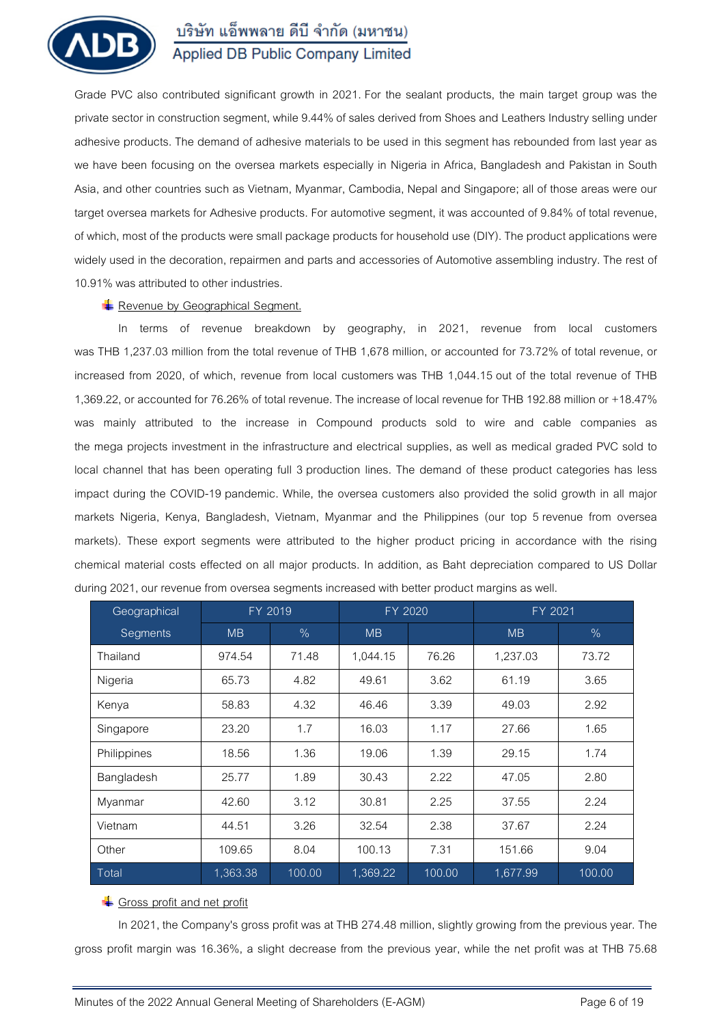

Grade PVC also contributed significant growth in 2021. For the sealant products, the main target group was the private sector in construction segment, while 9.44% of sales derived from Shoes and Leathers Industry selling under adhesive products. The demand of adhesive materials to be used in this segment has rebounded from last year as we have been focusing on the oversea markets especially in Nigeria in Africa, Bangladesh and Pakistan in South Asia, and other countries such as Vietnam, Myanmar, Cambodia, Nepal and Singapore; all of those areas were our target oversea markets for Adhesive products. For automotive segment, it was accounted of 9.84% of total revenue, of which, most of the products were small package products for household use (DIY). The product applications were widely used in the decoration, repairmen and parts and accessories of Automotive assembling industry. The rest of 10.91% was attributed to other industries.

## **Revenue by Geographical Segment.**

In terms of revenue breakdown by geography, in 2021, revenue from local customers was THB 1,237.03 million from the total revenue of THB 1,678 million, or accounted for 73.72% of total revenue, or increased from 2020, of which, revenue from local customers was THB 1,044.15 out of the total revenue of THB 1,369.22, or accounted for 76.26% of total revenue. The increase of local revenue for THB 192.88 million or +18.47% was mainly attributed to the increase in Compound products sold to wire and cable companies as the mega projects investment in the infrastructure and electrical supplies, as well as medical graded PVC sold to local channel that has been operating full 3 production lines. The demand of these product categories has less impact during the COVID-19 pandemic. While, the oversea customers also provided the solid growth in all major markets Nigeria, Kenya, Bangladesh, Vietnam, Myanmar and the Philippines (our top 5 revenue from oversea markets). These export segments were attributed to the higher product pricing in accordance with the rising chemical material costs effected on all major products. In addition, as Baht depreciation compared to US Dollar during 2021, our revenue from oversea segments increased with better product margins as well.

| Geographical |           | FY 2019 | FY 2020   |        | FY 2021   |        |
|--------------|-----------|---------|-----------|--------|-----------|--------|
| Segments     | <b>MB</b> | $\%$    | <b>MB</b> |        | <b>MB</b> | $\%$   |
| Thailand     | 974.54    | 71.48   | 1,044.15  | 76.26  | 1,237.03  | 73.72  |
| Nigeria      | 65.73     | 4.82    | 49.61     | 3.62   | 61.19     | 3.65   |
| Kenya        | 58.83     | 4.32    | 46.46     | 3.39   | 49.03     | 2.92   |
| Singapore    | 23.20     | 1.7     | 16.03     | 1.17   | 27.66     | 1.65   |
| Philippines  | 18.56     | 1.36    | 19.06     | 1.39   | 29.15     | 1.74   |
| Bangladesh   | 25.77     | 1.89    | 30.43     | 2.22   | 47.05     | 2.80   |
| Myanmar      | 42.60     | 3.12    | 30.81     | 2.25   | 37.55     | 2.24   |
| Vietnam      | 44.51     | 3.26    | 32.54     | 2.38   | 37.67     | 2.24   |
| Other        | 109.65    | 8.04    | 100.13    | 7.31   | 151.66    | 9.04   |
| Total        | 1,363.38  | 100.00  | 1,369.22  | 100.00 | 1,677.99  | 100.00 |

## Gross profit and net profit

In 2021, the Company's gross profit was at THB 274.48 million, slightly growing from the previous year. The gross profit margin was 16.36%, a slight decrease from the previous year, while the net profit was at THB 75.68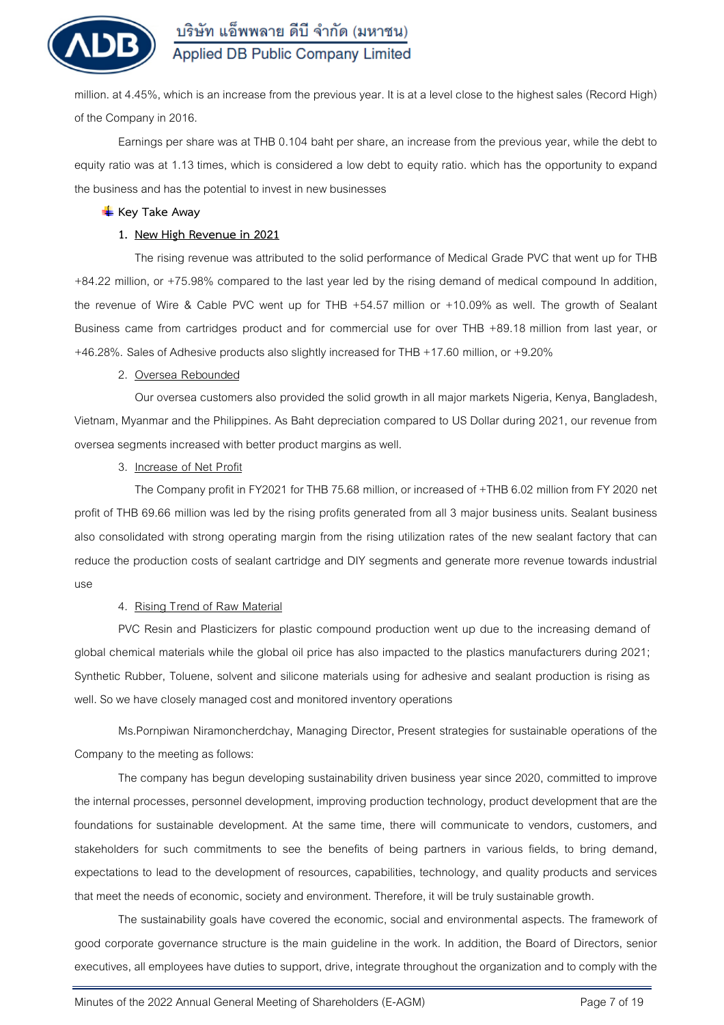

million. at 4.45%, which is an increase from the previous year. It is at a level close to the highest sales (Record High) of the Company in 2016.

Earnings per share was at THB 0.104 baht per share, an increase from the previous year, while the debt to equity ratio was at 1.13 times, which is considered a low debt to equity ratio. which has the opportunity to expand the business and has the potential to invest in new businesses

### **Key Take Away**

### **1. New High Revenue in 2021**

The rising revenue was attributed to the solid performance of Medical Grade PVC that went up for THB +84.22 million, or +75.98**%** compared to the last year led by the rising demand of medical compound In addition, the revenue of Wire & Cable PVC went up for THB +54.57 million or +10.09**%** as well. The growth of Sealant Business came from cartridges product and for commercial use for over THB +89.18 million from last year, or +46.28**%.** Sales of Adhesive products also slightly increased for THB +17.60 million, or +9.20**%**

### **2. Oversea Rebounded**

Our oversea customers also provided the solid growth in all major markets Nigeria, Kenya, Bangladesh, Vietnam, Myanmar and the Philippines. As Baht depreciation compared to US Dollar during 2021, our revenue from oversea segments increased with better product margins as well.

## **3. Increase of Net Profit**

The Company profit in FY2021 for THB 75.68 million, or increased of +THB 6.02 million from FY 2020 net profit of THB 69.66 million was led by the rising profits generated from all 3 major business units. Sealant business also consolidated with strong operating margin from the rising utilization rates of the new sealant factory that can reduce the production costs of sealant cartridge and DIY segments and generate more revenue towards industrial use

## **4. Rising Trend of Raw Material**

PVC Resin and Plasticizers for plastic compound production went up due to the increasing demand of global chemical materials while the global oil price has also impacted to the plastics manufacturers during 2021; Synthetic Rubber, Toluene, solvent and silicone materials using for adhesive and sealant production is rising as well. So we have closely managed cost and monitored inventory operations

Ms.Pornpiwan Niramoncherdchay, Managing Director, Present strategies for sustainable operations of the Company to the meeting as follows:

The company has begun developing sustainability driven business year since 2020, committed to improve the internal processes, personnel development, improving production technology, product development that are the foundations for sustainable development. At the same time, there will communicate to vendors, customers, and stakeholders for such commitments to see the benefits of being partners in various fields, to bring demand, expectations to lead to the development of resources, capabilities, technology, and quality products and services that meet the needs of economic, society and environment. Therefore, it will be truly sustainable growth.

The sustainability goals have covered the economic, social and environmental aspects. The framework of good corporate governance structure is the main guideline in the work. In addition, the Board of Directors, senior executives, all employees have duties to support, drive, integrate throughout the organization and to comply with the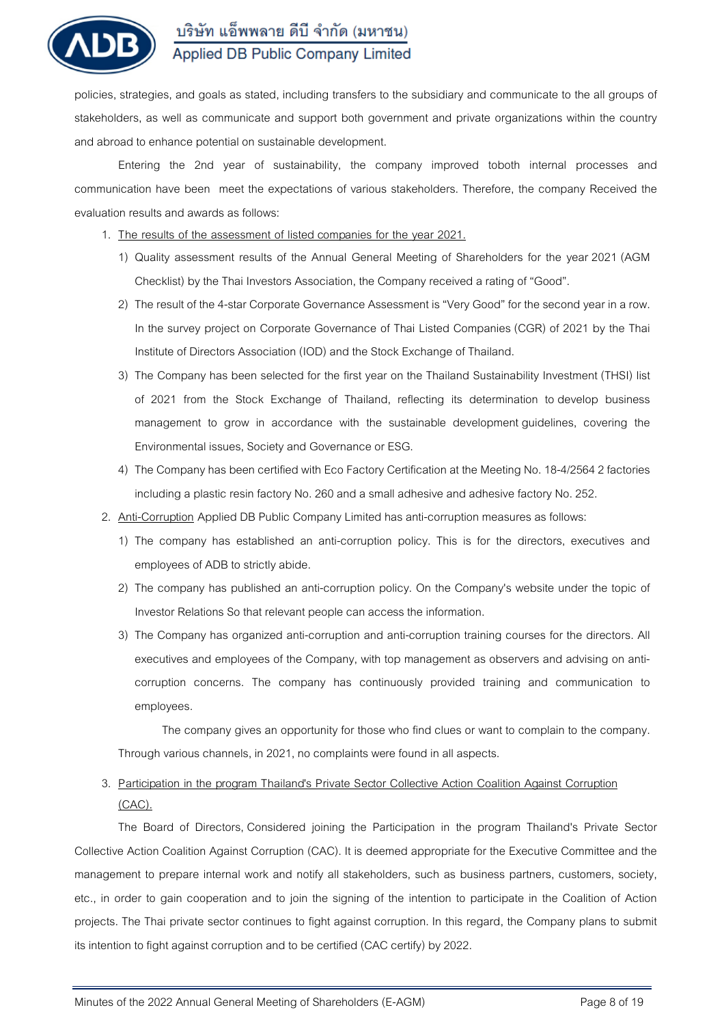

policies, strategies, and goals as stated, including transfers to the subsidiary and communicate to the all groups of stakeholders, as well as communicate and support both government and private organizations within the country and abroad to enhance potential on sustainable development.

Entering the 2nd year of sustainability, the company improved toboth internal processes and communication have been meet the expectations of various stakeholders. Therefore, the company Received the evaluation results and awards as follows:

- **1. The results of the assessment of listed companies for the year 2021.**
	- 1) Quality assessment results of the Annual General Meeting of Shareholders for the year 2021 (AGM Checklist) by the Thai Investors Association, the Company received a rating of "Good".
	- 2) The result of the 4-star Corporate Governance Assessment is "Very Good" for the second year in a row. In the survey project on Corporate Governance of Thai Listed Companies (CGR) of 2021 by the Thai Institute of Directors Association (IOD) and the Stock Exchange of Thailand.
	- 3) The Company has been selected for the first year on the Thailand Sustainability Investment (THSI) list of 2021 from the Stock Exchange of Thailand, reflecting its determination to develop business management to grow in accordance with the sustainable development guidelines, covering the Environmental issues, Society and Governance or ESG.
	- 4) The Company has been certified with Eco Factory Certification at the Meeting No. 18-4/2564 2 factories including a plastic resin factory No. 260 and a small adhesive and adhesive factory No. 252.
- **2. Anti-Corruption** Applied DB Public Company Limited has anti-corruption measures as follows:
	- 1) The company has established an anti-corruption policy. This is for the directors, executives and employees of ADB to strictly abide.
	- 2) The company has published an anti-corruption policy. On the Company's website under the topic of Investor Relations So that relevant people can access the information.
	- 3) The Company has organized anti-corruption and anti-corruption training courses for the directors. All executives and employees of the Company, with top management as observers and advising on anticorruption concerns. The company has continuously provided training and communication to employees.

The company gives an opportunity for those who find clues or want to complain to the company. Through various channels, in 2021, no complaints were found in all aspects.

**3. Participation in the program Thailand's Private Sector Collective Action Coalition Against Corruption (CAC).**

The Board of Directors, Considered joining the Participation in the program Thailand's Private Sector Collective Action Coalition Against Corruption (CAC). It is deemed appropriate for the Executive Committee and the management to prepare internal work and notify all stakeholders, such as business partners, customers, society, etc., in order to gain cooperation and to join the signing of the intention to participate in the Coalition of Action projects. The Thai private sector continues to fight against corruption. In this regard, the Company plans to submit its intention to fight against corruption and to be certified (CAC certify) by 2022.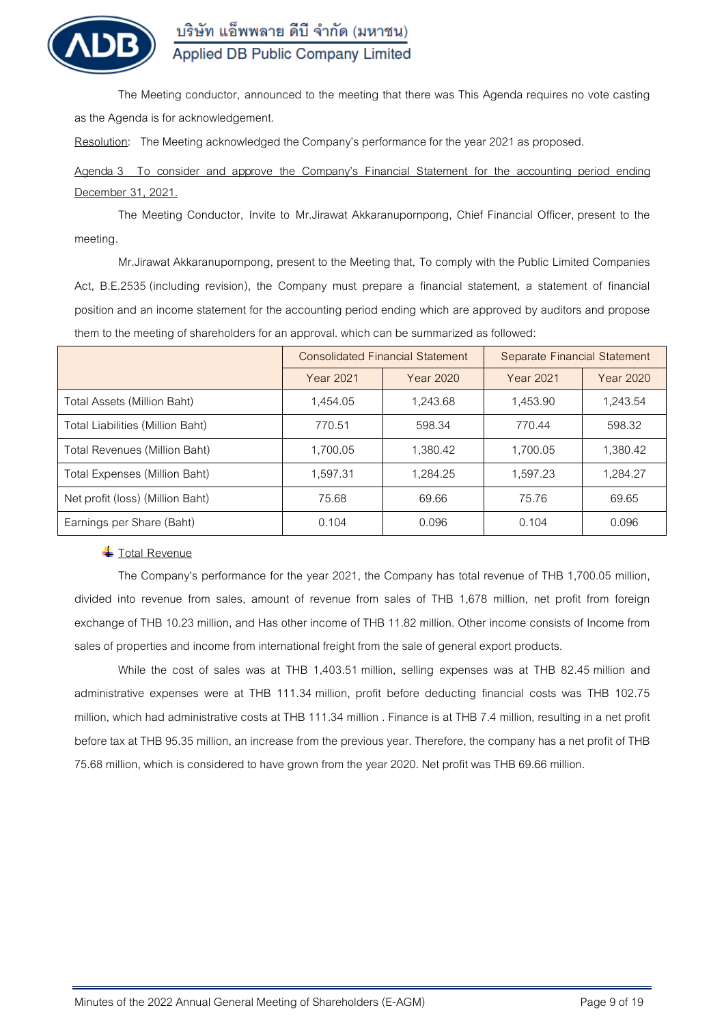

The Meeting conductor, announced to the meeting that there was This Agenda requires no vote casting as the Agenda is for acknowledgement.

**Resolution:** The Meeting acknowledged the Company's performance for the year 2021 as proposed.

**Agenda 3 To consider and approve the Company's Financial Statement for the accounting period ending December 31, 2021.**

The Meeting Conductor, Invite to Mr.Jirawat Akkaranupornpong, Chief Financial Officer, present to the meeting.

Mr.Jirawat Akkaranupornpong, present to the Meeting that, To comply with the Public Limited Companies Act, B.E.2535 (including revision), the Company must prepare a financial statement, a statement of financial position and an income statement for the accounting period ending which are approved by auditors and propose them to the meeting of shareholders for an approval. which can be summarized as followed:

|                                      |           | <b>Consolidated Financial Statement</b> | Separate Financial Statement |           |  |
|--------------------------------------|-----------|-----------------------------------------|------------------------------|-----------|--|
|                                      | Year 2021 | Year 2020                               | Year 2021                    | Year 2020 |  |
| Total Assets (Million Baht)          | 1,454.05  | 1,243.68                                | 1,453.90                     | 1,243.54  |  |
| Total Liabilities (Million Baht)     | 770.51    | 598.34                                  | 770.44                       | 598.32    |  |
| Total Revenues (Million Baht)        | 1,700.05  | 1,380.42                                | 1,700.05                     | 1,380.42  |  |
| <b>Total Expenses (Million Baht)</b> | 1,597.31  | 1,284.25                                | 1,597.23                     | 1,284.27  |  |
| Net profit (loss) (Million Baht)     | 75.68     | 69.66                                   | 75.76                        | 69.65     |  |
| Earnings per Share (Baht)            | 0.104     | 0.096                                   | 0.104                        | 0.096     |  |

## **Total Revenue**

The Company's performance for the year 2021, the Company has total revenue of THB 1,700.05 million, divided into revenue from sales, amount of revenue from sales of THB 1,678 million, net profit from foreign exchange of THB 10.23 million, and Has other income of THB 11.82 million. Other income consists of Income from sales of properties and income from international freight from the sale of general export products.

While the cost of sales was at THB 1,403.51 million, selling expenses was at THB 82.45 million and administrative expenses were at THB 111.34 million, profit before deducting financial costs was THB 102.75 million, which had administrative costs at THB 111.34 million . Finance is at THB 7.4 million, resulting in a net profit before tax at THB 95.35 million, an increase from the previous year. Therefore, the company has a net profit of THB 75.68 million, which is considered to have grown from the year 2020. Net profit was THB 69.66 million.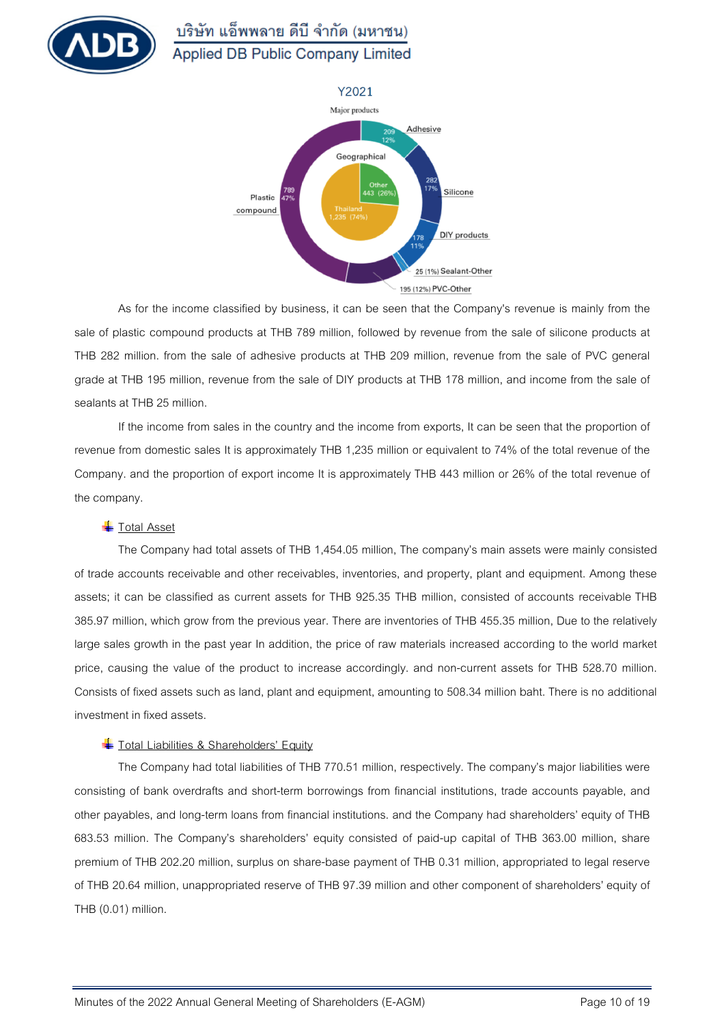



As for the income classified by business, it can be seen that the Company's revenue is mainly from the sale of plastic compound products at THB 789 million, followed by revenue from the sale of silicone products at THB 282 million. from the sale of adhesive products at THB 209 million, revenue from the sale of PVC general grade at THB 195 million, revenue from the sale of DIY products at THB 178 million, and income from the sale of sealants at THB 25 million.

If the income from sales in the country and the income from exports, It can be seen that the proportion of revenue from domestic sales It is approximately THB 1,235 million or equivalent to 74% of the total revenue of the Company. and the proportion of export income It is approximately THB 443 million or 26% of the total revenue of the company.

## **Total Asset**

The Company had total assets of THB 1,454.05 million, The company's main assets were mainly consisted of trade accounts receivable and other receivables, inventories, and property, plant and equipment. Among these assets; it can be classified as current assets for THB 925.35 THB million, consisted of accounts receivable THB 385.97 million, which grow from the previous year. There are inventories of THB 455.35 million, Due to the relatively large sales growth in the past year In addition, the price of raw materials increased according to the world market price, causing the value of the product to increase accordingly. and non-current assets for THB 528.70 million. Consists of fixed assets such as land, plant and equipment, amounting to 508.34 million baht. There is no additional investment in fixed assets.

## **The Total Liabilities & Shareholders' Equity**

The Company had total liabilities of THB 770.51 million, respectively. The company's major liabilities were consisting of bank overdrafts and short-term borrowings from financial institutions, trade accounts payable, and other payables, and long-term loans from financial institutions. and the Company had shareholders' equity of THB 683.53 million. The Company's shareholders' equity consisted of paid-up capital of THB 363.00 million, share premium of THB 202.20 million, surplus on share-base payment of THB 0.31 million, appropriated to legal reserve of THB 20.64 million, unappropriated reserve of THB 97.39 million and other component of shareholders' equity of THB (0.01) million.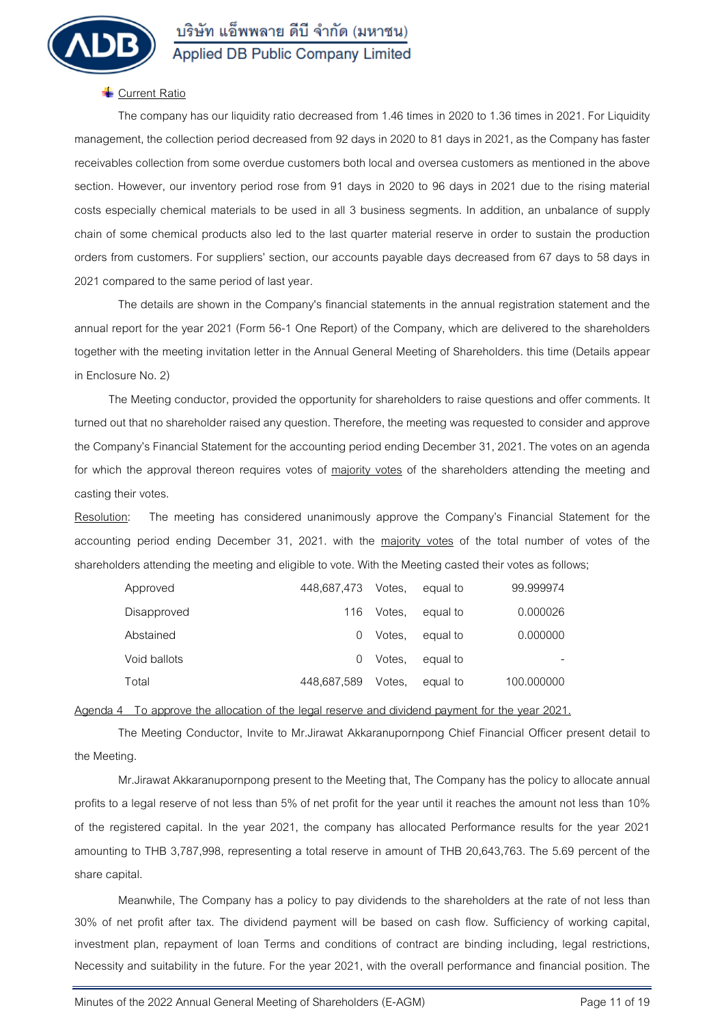

### **Current Ratio**

The company has our liquidity ratio decreased from 1.46 times in 2020 to 1.36 times in 2021. For Liquidity management, the collection period decreased from 92 days in 2020 to 81 days in 2021, as the Company has faster receivables collection from some overdue customers both local and oversea customers as mentioned in the above section. However, our inventory period rose from 91 days in 2020 to 96 days in 2021 due to the rising material costs especially chemical materials to be used in all 3 business segments. In addition, an unbalance of supply chain of some chemical products also led to the last quarter material reserve in order to sustain the production orders from customers. For suppliers' section, our accounts payable days decreased from 67 days to 58 days in 2021 compared to the same period of last year.

The details are shown in the Company's financial statements in the annual registration statement and the annual report for the year 2021 (Form 56-1 One Report) of the Company, which are delivered to the shareholders together with the meeting invitation letter in the Annual General Meeting of Shareholders. this time (Details appear in Enclosure No. 2)

The Meeting conductor, provided the opportunity for shareholders to raise questions and offer comments. It turned out that no shareholder raised any question. Therefore, the meeting was requested to consider and approve the Company's Financial Statement for the accounting period ending December 31, 2021. The votes on an agenda for which the approval thereon requires votes of majority votes of the shareholders attending the meeting and casting their votes.

**Resolution:** The meeting has considered unanimously approve the Company's Financial Statement for the accounting period ending December 31, 2021. with the majority votes of the total number of votes of the shareholders attending the meeting and eligible to vote. With the Meeting casted their votes as follows;

| Approved     | 448,687,473 Votes, |        | equal to | 99.999974  |
|--------------|--------------------|--------|----------|------------|
| Disapproved  | 116                | Votes. | equal to | 0.000026   |
| Abstained    | $\left( \right)$   | Votes. | equal to | 0.000000   |
| Void ballots | $\left( \right)$   | Votes. | equal to |            |
| Total        | 448,687,589        | Votes. | equal to | 100.000000 |

**Agenda 4 To approve the allocation of the legal reserve and dividend payment for the year 2021.**

The Meeting Conductor, Invite to Mr.Jirawat Akkaranupornpong Chief Financial Officer present detail to the Meeting.

Mr.Jirawat Akkaranupornpong present to the Meeting that, The Company has the policy to allocate annual profits to a legal reserve of not less than 5% of net profit for the year until it reaches the amount not less than 10% of the registered capital. In the year 2021, the company has allocated Performance results for the year 2021 amounting to THB 3,787,998, representing a total reserve in amount of THB 20,643,763. The 5.69 percent of the share capital.

Meanwhile, The Company has a policy to pay dividends to the shareholders at the rate of not less than 30% of net profit after tax. The dividend payment will be based on cash flow. Sufficiency of working capital, investment plan, repayment of loan Terms and conditions of contract are binding including, legal restrictions, Necessity and suitability in the future. For the year 2021, with the overall performance and financial position. The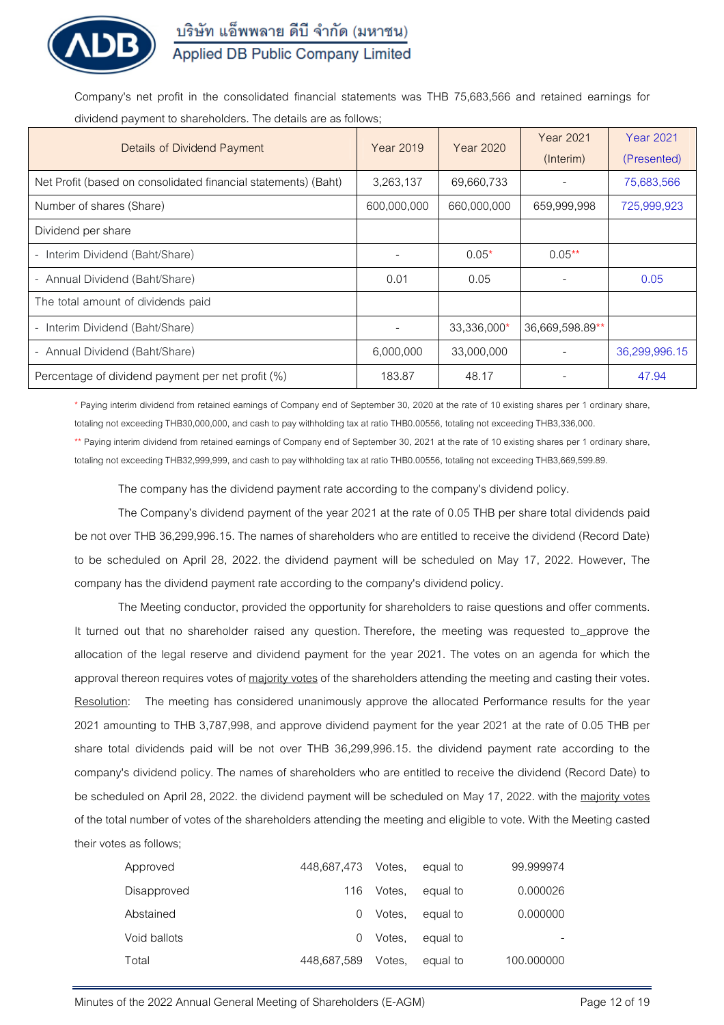

Company's net profit in the consolidated financial statements was THB 75,683,566 and retained earnings for dividend payment to shareholders. The details are as follows;

| <b>Details of Dividend Payment</b>                             | Year 2019   | Year 2020   | <b>Year 2021</b> | <b>Year 2021</b> |
|----------------------------------------------------------------|-------------|-------------|------------------|------------------|
|                                                                |             |             | (Interim)        | (Presented)      |
| Net Profit (based on consolidated financial statements) (Baht) | 3,263,137   | 69,660,733  |                  | 75,683,566       |
| Number of shares (Share)                                       | 600,000,000 | 660,000,000 | 659,999,998      | 725,999,923      |
| Dividend per share                                             |             |             |                  |                  |
| Interim Dividend (Baht/Share)<br>$\sim$                        |             | $0.05*$     | $0.05***$        |                  |
| - Annual Dividend (Baht/Share)                                 | 0.01        | 0.05        |                  | 0.05             |
| The total amount of dividends paid                             |             |             |                  |                  |
| - Interim Dividend (Baht/Share)                                |             | 33,336,000* | 36.669.598.89**  |                  |
| - Annual Dividend (Baht/Share)                                 | 6,000,000   | 33,000,000  |                  | 36,299,996.15    |
| Percentage of dividend payment per net profit (%)              | 183.87      | 48.17       |                  | 47.94            |

\* Paying interim dividend from retained earnings of Company end of September 30, 2020 at the rate of 10 existing shares per 1 ordinary share, totaling not exceeding THB30,000,000, and cash to pay withholding tax at ratio THB0.00556, totaling not exceeding THB3,336,000.

\*\* Paying interim dividend from retained earnings of Company end of September 30, 2021 at the rate of 10 existing shares per 1 ordinary share, totaling not exceeding THB32,999,999, and cash to pay withholding tax at ratio THB0.00556, totaling not exceeding THB3,669,599.89.

The company has the dividend payment rate according to the company's dividend policy.

The Company's dividend payment of the year 2021 at the rate of 0.05 THB per share total dividends paid be not over THB 36,299,996.15. The names of shareholders who are entitled to receive the dividend (Record Date) to be scheduled on April 28, 2022. the dividend payment will be scheduled on May 17, 2022. However, The company has the dividend payment rate according to the company's dividend policy.

The Meeting conductor, provided the opportunity for shareholders to raise questions and offer comments. It turned out that no shareholder raised any question. Therefore, the meeting was requested to\_approve the allocation of the legal reserve and dividend payment for the year 2021. The votes on an agenda for which the approval thereon requires votes of majority votes of the shareholders attending the meeting and casting their votes. **Resolution:** The meeting has considered unanimously approve the allocated Performance results for the year 2021 amounting to THB 3,787,998, and approve dividend payment for the year 2021 at the rate of 0.05 THB per share total dividends paid will be not over THB 36,299,996.15. the dividend payment rate according to the company's dividend policy. The names of shareholders who are entitled to receive the dividend (Record Date) to be scheduled on April 28, 2022. the dividend payment will be scheduled on May 17, 2022. with the majority votes of the total number of votes of the shareholders attending the meeting and eligible to vote. With the Meeting casted their votes as follows;

| Approved     | 448,687,473      | Votes. | equal to | 99.999974  |
|--------------|------------------|--------|----------|------------|
| Disapproved  | 116              | Votes. | equal to | 0.000026   |
| Abstained    | $\left( \right)$ | Votes. | equal to | 0.000000   |
| Void ballots | $\left( \right)$ | Votes. | equal to |            |
| Total        | 448.687.589      | Votes. | equal to | 100.000000 |

Minutes of the 2022 Annual General Meeting of Shareholders (E-AGM) Page 12 of 19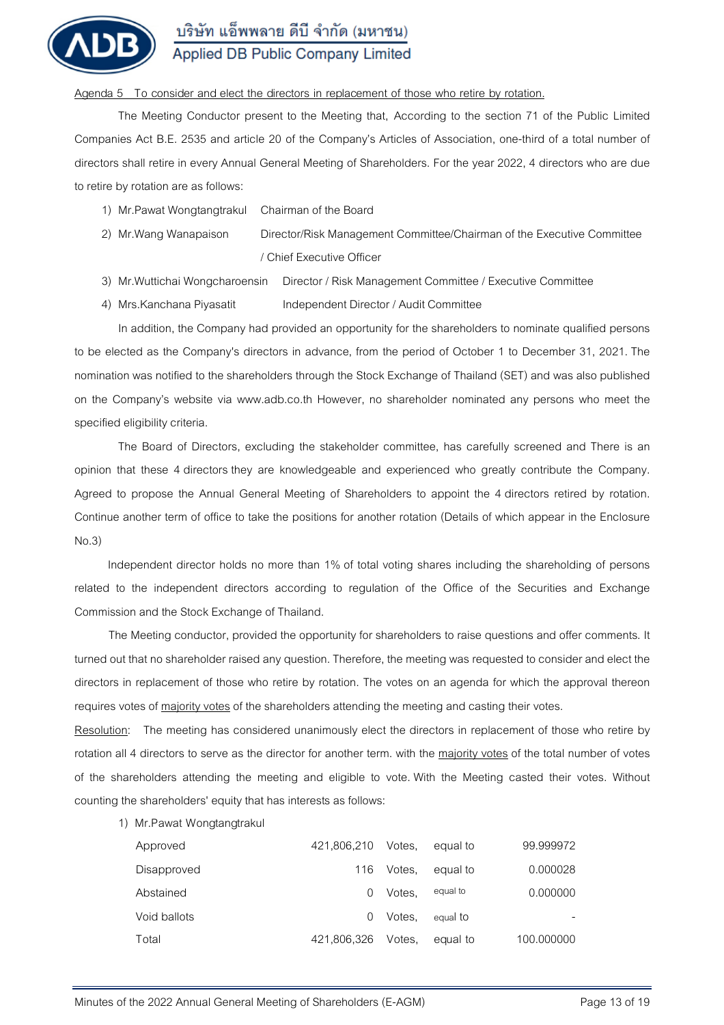

### **Agenda 5 To consider and elect the directors in replacement of those who retire by rotation.**

The Meeting Conductor present to the Meeting that, According to the section 71 of the Public Limited Companies Act B.E. 2535 and article 20 of the Company's Articles of Association, one-third of a total number of directors shall retire in every Annual General Meeting of Shareholders. For the year 2022, 4 directors who are due to retire by rotation are as follows:

- 1) Mr.Pawat Wongtangtrakul Chairman of the Board
- 2) Mr.Wang Wanapaison Director/Risk Management Committee/Chairman of the Executive Committee / Chief Executive Officer
- 3) Mr.Wuttichai Wongcharoensin Director / Risk Management Committee / Executive Committee
- 4) Mrs. Kanchana Piyasatit Independent Director / Audit Committee

In addition, the Company had provided an opportunity for the shareholders to nominate qualified persons to be elected as the Company's directors in advance, from the period of October 1 to December 31, 2021. The nomination was notified to the shareholders through the Stock Exchange of Thailand (SET) and was also published on the Company's website via www.adb.co.th However, no shareholder nominated any persons who meet the specified eligibility criteria.

The Board of Directors, excluding the stakeholder committee, has carefully screened and There is an opinion that these 4 directors they are knowledgeable and experienced who greatly contribute the Company. Agreed to propose the Annual General Meeting of Shareholders to appoint the 4 directors retired by rotation. Continue another term of office to take the positions for another rotation (Details of which appear in the Enclosure No.3)

Independent director holds no more than 1% of total voting shares including the shareholding of persons related to the independent directors according to regulation of the Office of the Securities and Exchange Commission and the Stock Exchange of Thailand.

The Meeting conductor, provided the opportunity for shareholders to raise questions and offer comments. It turned out that no shareholder raised any question. Therefore, the meeting was requested to consider and elect the directors in replacement of those who retire by rotation. The votes on an agenda for which the approval thereon requires votes of majority votes of the shareholders attending the meeting and casting their votes.

**Resolution:** The meeting has considered unanimously elect the directors in replacement of those who retire by rotation all 4 directors to serve as the director for another term. with the majority votes of the total number of votes of the shareholders attending the meeting and eligible to vote. With the Meeting casted their votes. Without counting the shareholders' equity that has interests as follows:

**1) Mr.Pawat Wongtangtrakul** 

| Approved     | 421.806.210 | Votes. | equal to | 99.999972  |
|--------------|-------------|--------|----------|------------|
| Disapproved  | 116         | Votes. | equal to | 0.000028   |
| Abstained    |             | Votes. | equal to | 0.000000   |
| Void ballots |             | Votes. | equal to |            |
| Total        | 421.806.326 | Votes. | equal to | 100.000000 |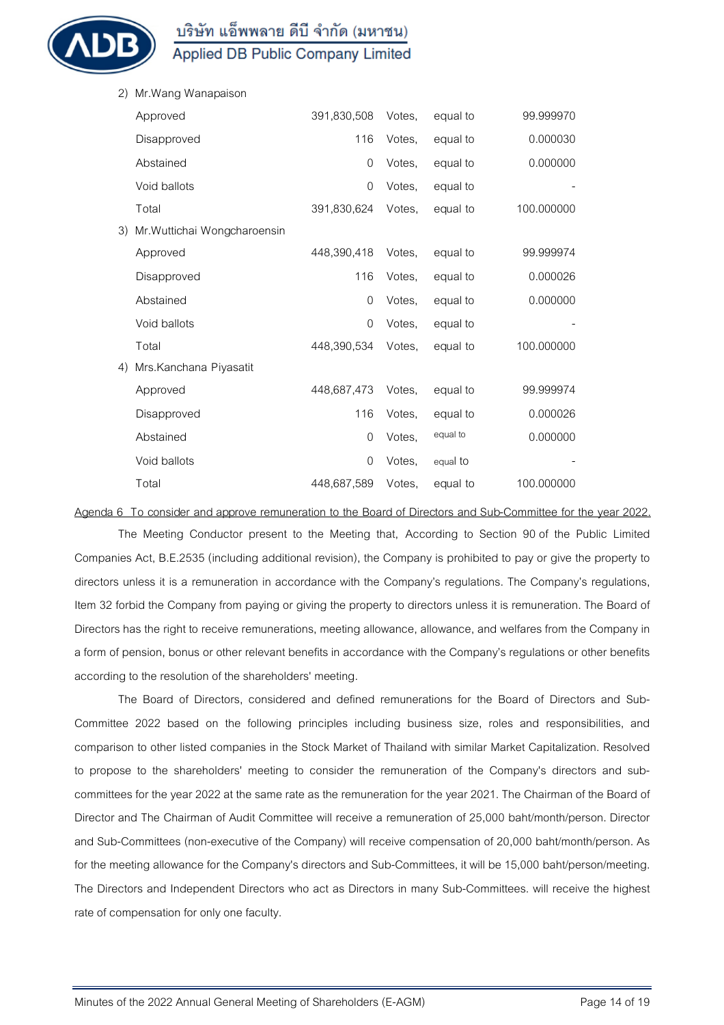

Applied DB Public Company Limited

| 2) | Mr. Wang Wanapaison          |                |        |          |            |
|----|------------------------------|----------------|--------|----------|------------|
|    | Approved                     | 391,830,508    | Votes, | equal to | 99.999970  |
|    | Disapproved                  | 116            | Votes, | equal to | 0.000030   |
|    | Abstained                    | $\mathbf 0$    | Votes, | equal to | 0.000000   |
|    | Void ballots                 | $\Omega$       | Votes, | equal to |            |
|    | Total                        | 391,830,624    | Votes, | equal to | 100.000000 |
| 3) | Mr. Wuttichai Wongcharoensin |                |        |          |            |
|    | Approved                     | 448,390,418    | Votes, | equal to | 99.999974  |
|    | Disapproved                  | 116            | Votes. | equal to | 0.000026   |
|    | Abstained                    | $\overline{0}$ | Votes, | equal to | 0.000000   |
|    | Void ballots                 | $\Omega$       | Votes, | equal to |            |
|    | Total                        | 448,390,534    | Votes, | equal to | 100.000000 |
| 4) | Mrs.Kanchana Piyasatit       |                |        |          |            |
|    | Approved                     | 448,687,473    | Votes, | equal to | 99.999974  |
|    | Disapproved                  | 116            | Votes, | equal to | 0.000026   |
|    | Abstained                    | 0              | Votes, | equal to | 0.000000   |
|    | Void ballots                 | $\overline{0}$ | Votes. | equal to |            |
|    | Total                        | 448,687,589    | Votes, | equal to | 100.000000 |

**Agenda 6 To consider and approve remuneration to the Board of Directors and Sub-Committee for the year 2022.**

The Meeting Conductor present to the Meeting that, According to Section 90 of the Public Limited Companies Act, B.E.2535 (including additional revision), the Company is prohibited to pay or give the property to directors unless it is a remuneration in accordance with the Company's regulations. The Company's regulations, Item 32 forbid the Company from paying or giving the property to directors unless it is remuneration. The Board of Directors has the right to receive remunerations, meeting allowance, allowance, and welfares from the Company in a form of pension, bonus or other relevant benefits in accordance with the Company's regulations or other benefits according to the resolution of the shareholders' meeting.

The Board of Directors, considered and defined remunerations for the Board of Directors and Sub-Committee 2022 based on the following principles including business size, roles and responsibilities, and comparison to other listed companies in the Stock Market of Thailand with similar Market Capitalization. Resolved to propose to the shareholders' meeting to consider the remuneration of the Company's directors and subcommittees for the year 2022 at the same rate as the remuneration for the year 2021. The Chairman of the Board of Director and The Chairman of Audit Committee will receive a remuneration of 25,000 baht/month/person. Director and Sub-Committees (non-executive of the Company) will receive compensation of 20,000 baht/month/person. As for the meeting allowance for the Company's directors and Sub-Committees, it will be 15,000 baht/person/meeting. The Directors and Independent Directors who act as Directors in many Sub-Committees. will receive the highest rate of compensation for only one faculty.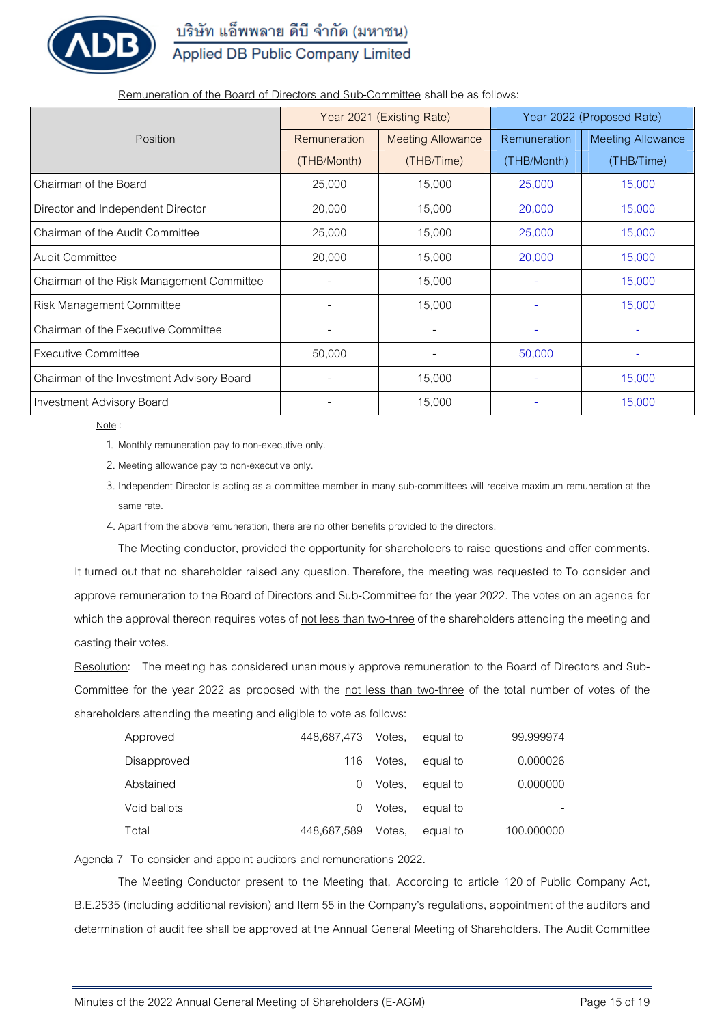บริษัท แอ็พพลาย ดีบี จำกัด (มหาชน)

# Applied DB Public Company Limited

|                                           |                     | Year 2021 (Existing Rate) | Year 2022 (Proposed Rate) |                          |
|-------------------------------------------|---------------------|---------------------------|---------------------------|--------------------------|
| Position                                  | <b>Remuneration</b> | <b>Meeting Allowance</b>  | <b>Remuneration</b>       | <b>Meeting Allowance</b> |
|                                           | (THB/Month)         | (THB/Time)                | (THB/Month)               | (THB/Time)               |
| Chairman of the Board                     | 25,000              | 15,000                    | 25,000                    | 15,000                   |
| Director and Independent Director         | 20,000              | 15,000                    | 20,000                    | 15,000                   |
| Chairman of the Audit Committee           | 25,000              | 15,000                    | 25,000                    | 15,000                   |
| <b>Audit Committee</b>                    | 20,000              | 15,000                    | 20,000                    | 15,000                   |
| Chairman of the Risk Management Committee |                     | 15,000                    |                           | 15,000                   |
| Risk Management Committee                 |                     | 15,000                    |                           | 15,000                   |
| Chairman of the Executive Committee       |                     |                           |                           |                          |
| <b>Executive Committee</b>                | 50,000              |                           | 50,000                    |                          |
| Chairman of the Investment Advisory Board |                     | 15,000                    | $\overline{\phantom{a}}$  | 15,000                   |
| Investment Advisory Board                 |                     | 15,000                    |                           | 15,000                   |

**Remuneration of the Board of Directors and Sub-Committee** shall be as follows:

#### Note :

1. Monthly remuneration pay to non-executive only.

2. Meeting allowance pay to non-executive only.

3. Independent Director is acting as a committee member in many sub-committees will receive maximum remuneration at the same rate.

4. Apart from the above remuneration, there are no other benefits provided to the directors.

The Meeting conductor, provided the opportunity for shareholders to raise questions and offer comments. It turned out that no shareholder raised any question. Therefore, the meeting was requested to To consider and approve remuneration to the Board of Directors and Sub-Committee for the year 2022. The votes on an agenda for which the approval thereon requires votes of not less than two-three of the shareholders attending the meeting and casting their votes.

**Resolution:** The meeting has considered unanimously approve remuneration to the Board of Directors and Sub-Committee for the year 2022 as proposed with the not less than two-three of the total number of votes of the shareholders attending the meeting and eligible to vote as follows:

| Approved     | 448,687,473 Votes, |        | equal to | 99.999974  |
|--------------|--------------------|--------|----------|------------|
| Disapproved  | 116                | Votes. | equal to | 0.000026   |
| Abstained    | $\left( \right)$   | Votes. | equal to | 0.000000   |
| Void ballots | ()                 | Votes. | equal to |            |
| Total        | 448,687,589        | Votes. | equal to | 100.000000 |

## **Agenda 7 To consider and appoint auditors and remunerations 2022.**

The Meeting Conductor present to the Meeting that, According to article 120 of Public Company Act, B.E.2535 (including additional revision) and Item 55 in the Company's regulations, appointment of the auditors and determination of audit fee shall be approved at the Annual General Meeting of Shareholders. The Audit Committee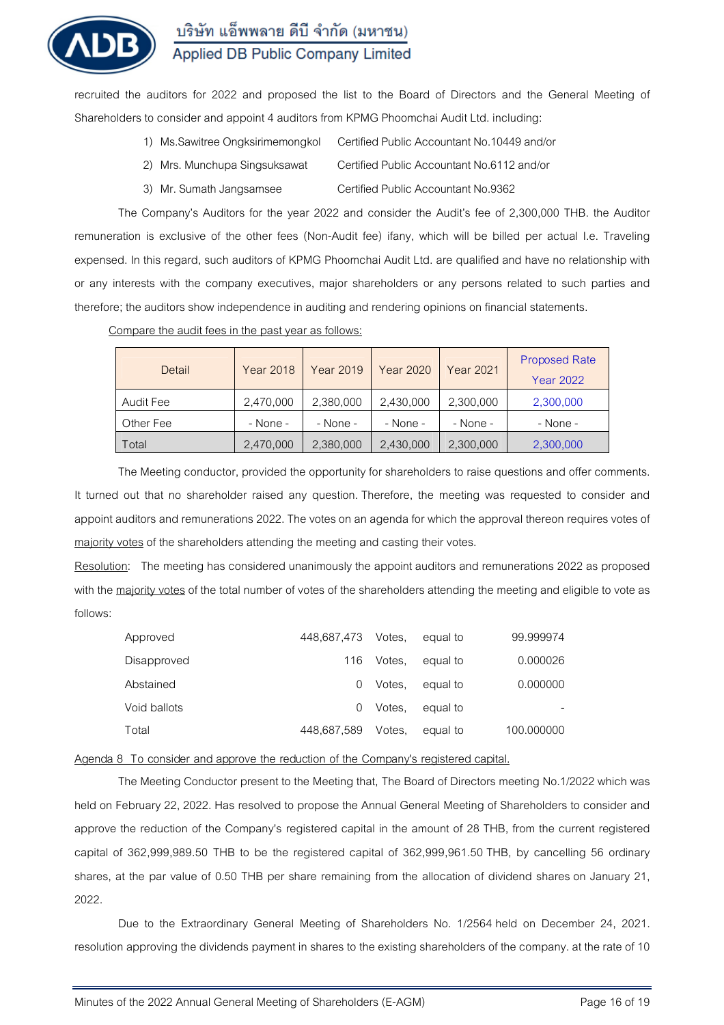

recruited the auditors for 2022 and proposed the list to the Board of Directors and the General Meeting of Shareholders to consider and appoint 4 auditors from KPMG Phoomchai Audit Ltd. including:

- 1) Ms.Sawitree Ongksirimemongkol Certified Public Accountant No.10449 and/or
- 2) Mrs. Munchupa Singsuksawat Certified Public Accountant No.6112 and/or
- 3) Mr. Sumath Jangsamsee Certified Public Accountant No.9362

The Company's Auditors for the year 2022 and consider the Audit's fee of 2,300,000 THB. the Auditor remuneration is exclusive of the other fees (Non-Audit fee) ifany, which will be billed per actual I.e. Traveling expensed. In this regard, such auditors of KPMG Phoomchai Audit Ltd. are qualified and have no relationship with or any interests with the company executives, major shareholders or any persons related to such parties and therefore; the auditors show independence in auditing and rendering opinions on financial statements.

#### Compare the audit fees in the past year as follows:

| Detail    | <b>Year 2018</b> | <b>Year 2019</b> | Year 2020 | <b>Year 2021</b> | <b>Proposed Rate</b><br><b>Year 2022</b> |
|-----------|------------------|------------------|-----------|------------------|------------------------------------------|
| Audit Fee | 2,470,000        | 2,380,000        | 2,430,000 | 2,300,000        | 2,300,000                                |
| Other Fee | $-$ None $-$     | $-$ None $-$     | - None -  | - None -         | - None -                                 |
| Total     | 2,470,000        | 2,380,000        | 2,430,000 | 2,300,000        | 2,300,000                                |

The Meeting conductor, provided the opportunity for shareholders to raise questions and offer comments. It turned out that no shareholder raised any question. Therefore, the meeting was requested to consider and appoint auditors and remunerations 2022. The votes on an agenda for which the approval thereon requires votes of majority votes of the shareholders attending the meeting and casting their votes.

**Resolution:** The meeting has considered unanimously the appoint auditors and remunerations 2022 as proposed with the majority votes of the total number of votes of the shareholders attending the meeting and eligible to vote as follows:

| Approved     | 448,687,473 Votes, |        | equal to | 99.999974  |
|--------------|--------------------|--------|----------|------------|
| Disapproved  | 116                | Votes. | equal to | 0.000026   |
| Abstained    |                    | Votes. | equal to | 0.000000   |
| Void ballots |                    | Votes. | equal to |            |
| Total        | 448.687.589        | Votes. | equal to | 100.000000 |

### **Agenda 8 To consider and approve the reduction of the Company's registered capital.**

The Meeting Conductor present to the Meeting that, The Board of Directors meeting No.1/2022 which was held on February 22, 2022. Has resolved to propose the Annual General Meeting of Shareholders to consider and approve the reduction of the Company's registered capital in the amount of 28 THB, from the current registered capital of 362,999,989.50 THB to be the registered capital of 362,999,961.50 THB, by cancelling 56 ordinary shares, at the par value of 0.50 THB per share remaining from the allocation of dividend shares on January 21, 2022.

Due to the Extraordinary General Meeting of Shareholders No. 1/2564 held on December 24, 2021. resolution approving the dividends payment in shares to the existing shareholders of the company. at the rate of 10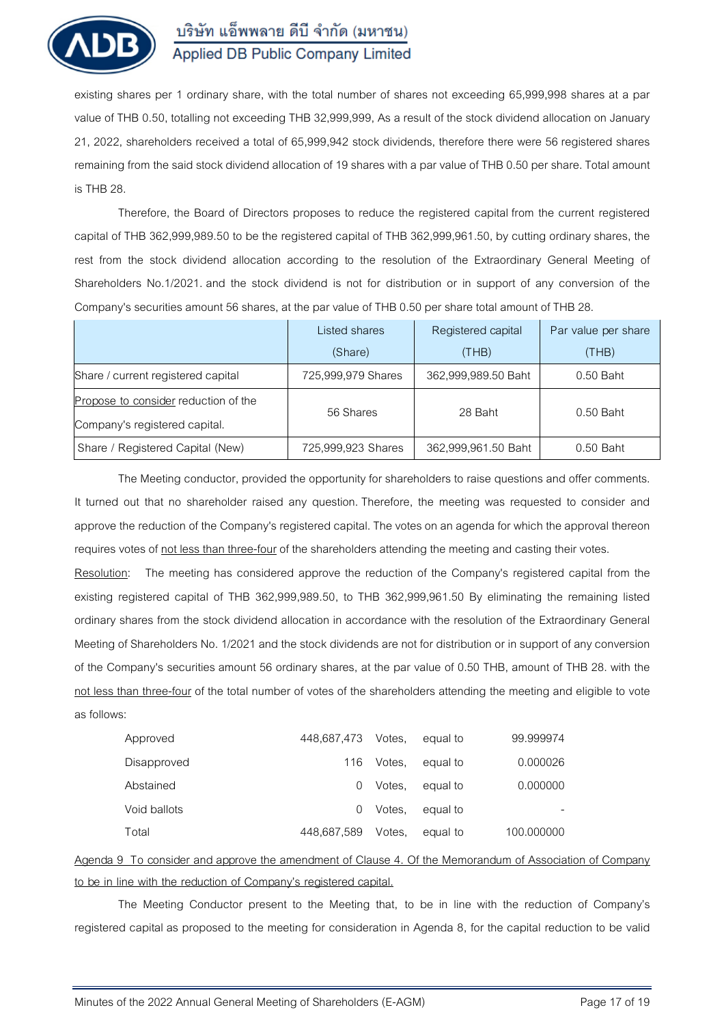

existing shares per 1 ordinary share, with the total number of shares not exceeding 65,999,998 shares at a par value of THB 0.50, totalling not exceeding THB 32**,**999**,**999, As a result of the stock dividend allocation on January 21, 2022, shareholders received a total of 65,999,942 stock dividends, therefore there were 56 registered shares remaining from the said stock dividend allocation of 19 shares with a par value of THB 0.50 per share. Total amount is THB 28.

Therefore, the Board of Directors proposes to reduce the registered capital from the current registered capital of THB 362,999,989.50 to be the registered capital of THB 362,999,961.50, by cutting ordinary shares, the rest from the stock dividend allocation according to the resolution of the Extraordinary General Meeting of Shareholders No.1/2021. and the stock dividend is not for distribution or in support of any conversion of the Company's securities amount 56 shares, at the par value of THB 0.50 per share total amount of THB 28.

|                                      | Listed shares<br>(Share) | Registered capital<br>(THB) | Par value per share<br>(THB) |  |
|--------------------------------------|--------------------------|-----------------------------|------------------------------|--|
| Share / current registered capital   | 725,999,979 Shares       | 362,999,989.50 Baht         | 0.50 Baht                    |  |
| Propose to consider reduction of the | 56 Shares                | 28 Baht                     | $0.50$ Baht                  |  |
| Company's registered capital.        |                          |                             |                              |  |
| Share / Registered Capital (New)     | 725,999,923 Shares       | 362,999,961.50 Baht         | $0.50$ Baht                  |  |

The Meeting conductor, provided the opportunity for shareholders to raise questions and offer comments. It turned out that no shareholder raised any question. Therefore, the meeting was requested to consider and approve the reduction of the Company's registered capital. The votes on an agenda for which the approval thereon requires votes of not less than three-four of the shareholders attending the meeting and casting their votes.

**Resolution:** The meeting has considered approve the reduction of the Company's registered capital from the existing registered capital of THB 362**,**999**,**989.50, to THB 362,999,961.50 By eliminating the remaining listed ordinary shares from the stock dividend allocation in accordance with the resolution of the Extraordinary General Meeting of Shareholders No. 1/2021 and the stock dividends are not for distribution or in support of any conversion of the Company's securities amount 56 ordinary shares, at the par value of 0.50 THB, amount of THB 28. with the not less than three-four of the total number of votes of the shareholders attending the meeting and eligible to vote as follows:

| Approved     | 448,687,473 Votes, |        | equal to | 99.999974  |
|--------------|--------------------|--------|----------|------------|
| Disapproved  | 116                | Votes. | equal to | 0.000026   |
| Abstained    |                    | Votes. | equal to | 0.000000   |
| Void ballots |                    | Votes. | equal to |            |
| Total        | 448,687,589        | Votes. | equal to | 100.000000 |

## **Agenda 9 To consider and approve the amendment of Clause 4. Of the Memorandum of Association of Company to be in line with the reduction of Company's registered capital.**

The Meeting Conductor present to the Meeting that, to be in line with the reduction of Company's registered capital as proposed to the meeting for consideration in Agenda 8, for the capital reduction to be valid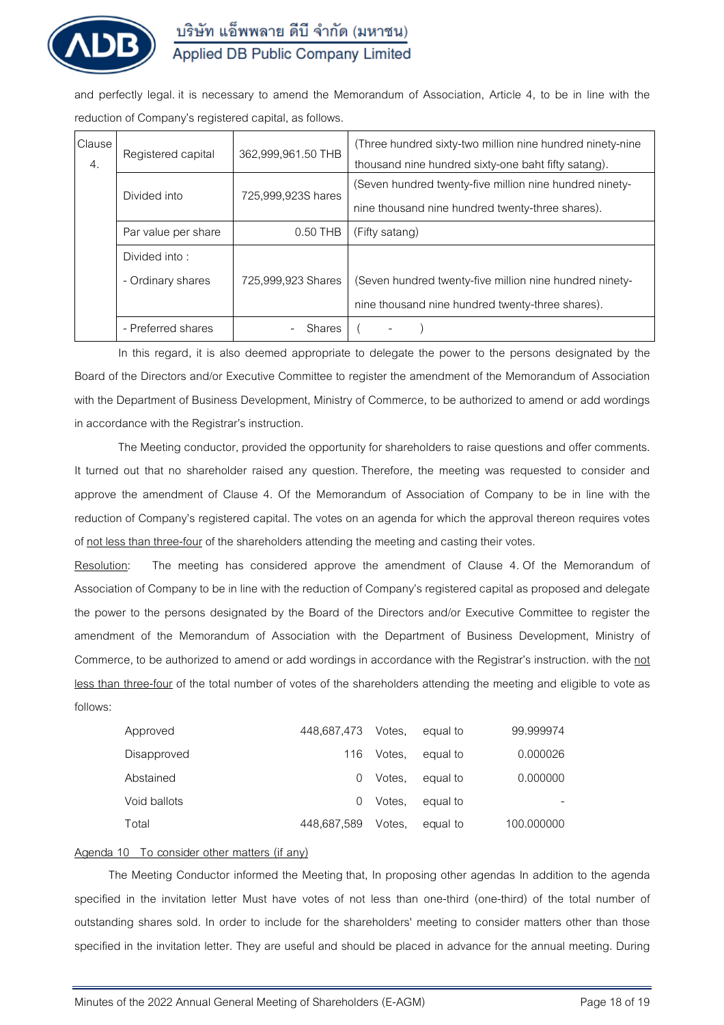

and perfectly legal. it is necessary to amend the Memorandum of Association, Article 4, to be in line with the reduction of Company's registered capital, as follows.

| Clause<br>4. | Registered capital  | 362,999,961.50 THB | (Three hundred sixty-two million nine hundred ninety-nine<br>thousand nine hundred sixty-one baht fifty satang). |  |  |  |
|--------------|---------------------|--------------------|------------------------------------------------------------------------------------------------------------------|--|--|--|
|              | Divided into        | 725,999,923S hares | (Seven hundred twenty-five million nine hundred ninety-<br>nine thousand nine hundred twenty-three shares).      |  |  |  |
|              | Par value per share | $0.50$ THB         | (Fifty satang)                                                                                                   |  |  |  |
|              | Divided into:       |                    |                                                                                                                  |  |  |  |
|              | - Ordinary shares   | 725,999,923 Shares | (Seven hundred twenty-five million nine hundred ninety-                                                          |  |  |  |
|              |                     |                    | nine thousand nine hundred twenty-three shares).                                                                 |  |  |  |
|              | - Preferred shares  | Shares             |                                                                                                                  |  |  |  |

In this regard, it is also deemed appropriate to delegate the power to the persons designated by the Board of the Directors and/or Executive Committee to register the amendment of the Memorandum of Association with the Department of Business Development, Ministry of Commerce, to be authorized to amend or add wordings in accordance with the Registrar's instruction.

The Meeting conductor, provided the opportunity for shareholders to raise questions and offer comments. It turned out that no shareholder raised any question. Therefore, the meeting was requested to consider and approve the amendment of Clause 4. Of the Memorandum of Association of Company to be in line with the reduction of Company's registered capital. The votes on an agenda for which the approval thereon requires votes of not less than three-four of the shareholders attending the meeting and casting their votes.

**Resolution:** The meeting has considered approve the amendment of Clause 4. Of the Memorandum of Association of Company to be in line with the reduction of Company's registered capital as proposed and delegate the power to the persons designated by the Board of the Directors and/or Executive Committee to register the amendment of the Memorandum of Association with the Department of Business Development, Ministry of Commerce, to be authorized to amend or add wordings in accordance with the Registrar's instruction. with the not less than three-four of the total number of votes of the shareholders attending the meeting and eligible to vote as follows:

| Approved     | 448.687.473 | Votes. | equal to | 99.999974  |
|--------------|-------------|--------|----------|------------|
| Disapproved  | 116.        | Votes. | equal to | 0.000026   |
| Abstained    |             | Votes. | equal to | 0.000000   |
| Void ballots |             | Votes. | equal to |            |
| Total        | 448,687,589 | Votes. | equal to | 100.000000 |

### **Agenda 10 To consider other matters (if any)**

The Meeting Conductor informed the Meeting that, In proposing other agendas In addition to the agenda specified in the invitation letter Must have votes of not less than one-third (one-third) of the total number of outstanding shares sold. In order to include for the shareholders' meeting to consider matters other than those specified in the invitation letter. They are useful and should be placed in advance for the annual meeting. During